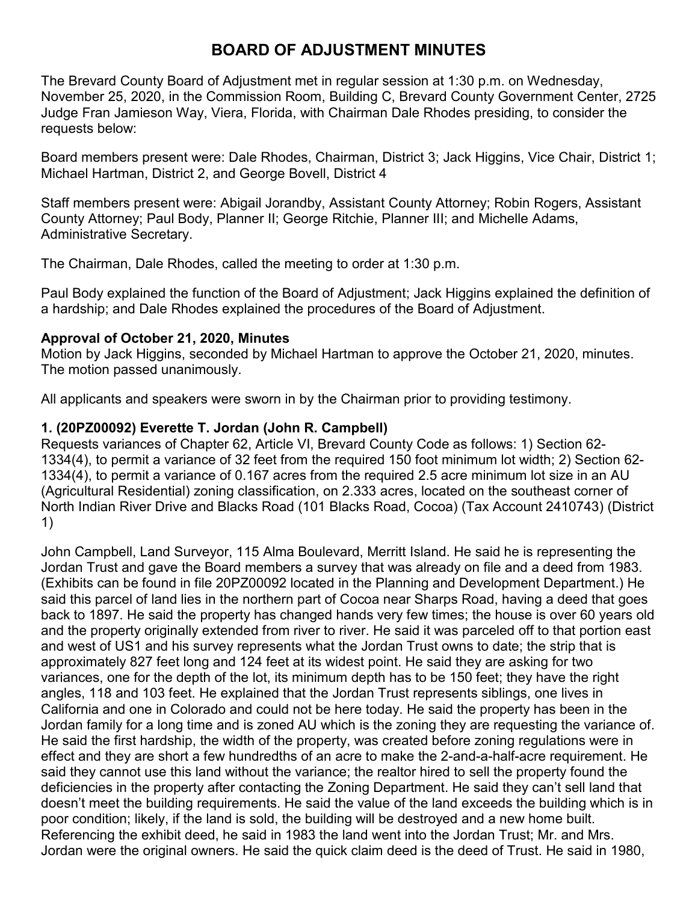# **BOARD OF ADJUSTMENT MINUTES**

The Brevard County Board of Adjustment met in regular session at 1:30 p.m. on Wednesday, November 25, 2020, in the Commission Room, Building C, Brevard County Government Center, 2725 Judge Fran Jamieson Way, Viera, Florida, with Chairman Dale Rhodes presiding, to consider the requests below:

Board members present were: Dale Rhodes, Chairman, District 3; Jack Higgins, Vice Chair, District 1; Michael Hartman, District 2, and George Bovell, District 4

Staff members present were: Abigail Jorandby, Assistant County Attorney; Robin Rogers, Assistant County Attorney; Paul Body, Planner II; George Ritchie, Planner III; and Michelle Adams, Administrative Secretary.

The Chairman, Dale Rhodes, called the meeting to order at 1:30 p.m.

Paul Body explained the function of the Board of Adjustment; Jack Higgins explained the definition of a hardship; and Dale Rhodes explained the procedures of the Board of Adjustment.

## **Approval of October 21, 2020, Minutes**

Motion by Jack Higgins, seconded by Michael Hartman to approve the October 21, 2020, minutes. The motion passed unanimously.

All applicants and speakers were sworn in by the Chairman prior to providing testimony.

# **1. (20PZ00092) Everette T. Jordan (John R. Campbell)**

Requests variances of Chapter 62, Article VI, Brevard County Code as follows: 1) Section 62- 1334(4), to permit a variance of 32 feet from the required 150 foot minimum lot width; 2) Section 62- 1334(4), to permit a variance of 0.167 acres from the required 2.5 acre minimum lot size in an AU (Agricultural Residential) zoning classification, on 2.333 acres, located on the southeast corner of North Indian River Drive and Blacks Road (101 Blacks Road, Cocoa) (Tax Account 2410743) (District 1)

John Campbell, Land Surveyor, 115 Alma Boulevard, Merritt Island. He said he is representing the Jordan Trust and gave the Board members a survey that was already on file and a deed from 1983. (Exhibits can be found in file 20PZ00092 located in the Planning and Development Department.) He said this parcel of land lies in the northern part of Cocoa near Sharps Road, having a deed that goes back to 1897. He said the property has changed hands very few times; the house is over 60 years old and the property originally extended from river to river. He said it was parceled off to that portion east and west of US1 and his survey represents what the Jordan Trust owns to date; the strip that is approximately 827 feet long and 124 feet at its widest point. He said they are asking for two variances, one for the depth of the lot, its minimum depth has to be 150 feet; they have the right angles, 118 and 103 feet. He explained that the Jordan Trust represents siblings, one lives in California and one in Colorado and could not be here today. He said the property has been in the Jordan family for a long time and is zoned AU which is the zoning they are requesting the variance of. He said the first hardship, the width of the property, was created before zoning regulations were in effect and they are short a few hundredths of an acre to make the 2-and-a-half-acre requirement. He said they cannot use this land without the variance; the realtor hired to sell the property found the deficiencies in the property after contacting the Zoning Department. He said they can't sell land that doesn't meet the building requirements. He said the value of the land exceeds the building which is in poor condition; likely, if the land is sold, the building will be destroyed and a new home built. Referencing the exhibit deed, he said in 1983 the land went into the Jordan Trust; Mr. and Mrs. Jordan were the original owners. He said the quick claim deed is the deed of Trust. He said in 1980,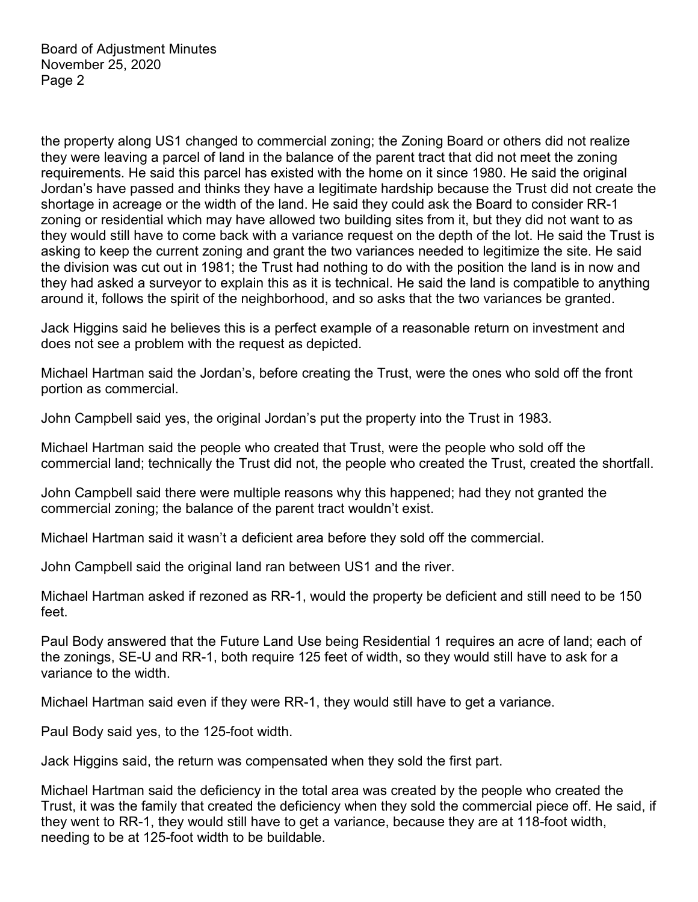the property along US1 changed to commercial zoning; the Zoning Board or others did not realize they were leaving a parcel of land in the balance of the parent tract that did not meet the zoning requirements. He said this parcel has existed with the home on it since 1980. He said the original Jordan's have passed and thinks they have a legitimate hardship because the Trust did not create the shortage in acreage or the width of the land. He said they could ask the Board to consider RR-1 zoning or residential which may have allowed two building sites from it, but they did not want to as they would still have to come back with a variance request on the depth of the lot. He said the Trust is asking to keep the current zoning and grant the two variances needed to legitimize the site. He said the division was cut out in 1981; the Trust had nothing to do with the position the land is in now and they had asked a surveyor to explain this as it is technical. He said the land is compatible to anything around it, follows the spirit of the neighborhood, and so asks that the two variances be granted.

Jack Higgins said he believes this is a perfect example of a reasonable return on investment and does not see a problem with the request as depicted.

Michael Hartman said the Jordan's, before creating the Trust, were the ones who sold off the front portion as commercial.

John Campbell said yes, the original Jordan's put the property into the Trust in 1983.

Michael Hartman said the people who created that Trust, were the people who sold off the commercial land; technically the Trust did not, the people who created the Trust, created the shortfall.

John Campbell said there were multiple reasons why this happened; had they not granted the commercial zoning; the balance of the parent tract wouldn't exist.

Michael Hartman said it wasn't a deficient area before they sold off the commercial.

John Campbell said the original land ran between US1 and the river.

Michael Hartman asked if rezoned as RR-1, would the property be deficient and still need to be 150 feet.

Paul Body answered that the Future Land Use being Residential 1 requires an acre of land; each of the zonings, SE-U and RR-1, both require 125 feet of width, so they would still have to ask for a variance to the width.

Michael Hartman said even if they were RR-1, they would still have to get a variance.

Paul Body said yes, to the 125-foot width.

Jack Higgins said, the return was compensated when they sold the first part.

Michael Hartman said the deficiency in the total area was created by the people who created the Trust, it was the family that created the deficiency when they sold the commercial piece off. He said, if they went to RR-1, they would still have to get a variance, because they are at 118-foot width, needing to be at 125-foot width to be buildable.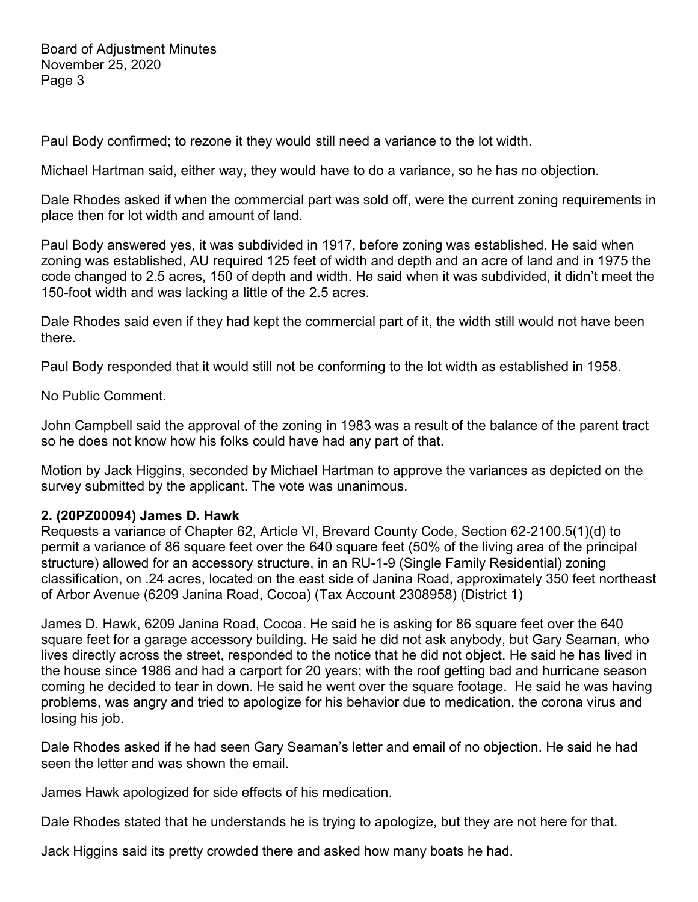Paul Body confirmed; to rezone it they would still need a variance to the lot width.

Michael Hartman said, either way, they would have to do a variance, so he has no objection.

Dale Rhodes asked if when the commercial part was sold off, were the current zoning requirements in place then for lot width and amount of land.

Paul Body answered yes, it was subdivided in 1917, before zoning was established. He said when zoning was established, AU required 125 feet of width and depth and an acre of land and in 1975 the code changed to 2.5 acres, 150 of depth and width. He said when it was subdivided, it didn't meet the 150-foot width and was lacking a little of the 2.5 acres.

Dale Rhodes said even if they had kept the commercial part of it, the width still would not have been there.

Paul Body responded that it would still not be conforming to the lot width as established in 1958.

No Public Comment.

John Campbell said the approval of the zoning in 1983 was a result of the balance of the parent tract so he does not know how his folks could have had any part of that.

Motion by Jack Higgins, seconded by Michael Hartman to approve the variances as depicted on the survey submitted by the applicant. The vote was unanimous.

#### **2. (20PZ00094) James D. Hawk**

Requests a variance of Chapter 62, Article VI, Brevard County Code, Section 62-2100.5(1)(d) to permit a variance of 86 square feet over the 640 square feet (50% of the living area of the principal structure) allowed for an accessory structure, in an RU-1-9 (Single Family Residential) zoning classification, on .24 acres, located on the east side of Janina Road, approximately 350 feet northeast of Arbor Avenue (6209 Janina Road, Cocoa) (Tax Account 2308958) (District 1)

James D. Hawk, 6209 Janina Road, Cocoa. He said he is asking for 86 square feet over the 640 square feet for a garage accessory building. He said he did not ask anybody, but Gary Seaman, who lives directly across the street, responded to the notice that he did not object. He said he has lived in the house since 1986 and had a carport for 20 years; with the roof getting bad and hurricane season coming he decided to tear in down. He said he went over the square footage. He said he was having problems, was angry and tried to apologize for his behavior due to medication, the corona virus and losing his job.

Dale Rhodes asked if he had seen Gary Seaman's letter and email of no objection. He said he had seen the letter and was shown the email.

James Hawk apologized for side effects of his medication.

Dale Rhodes stated that he understands he is trying to apologize, but they are not here for that.

Jack Higgins said its pretty crowded there and asked how many boats he had.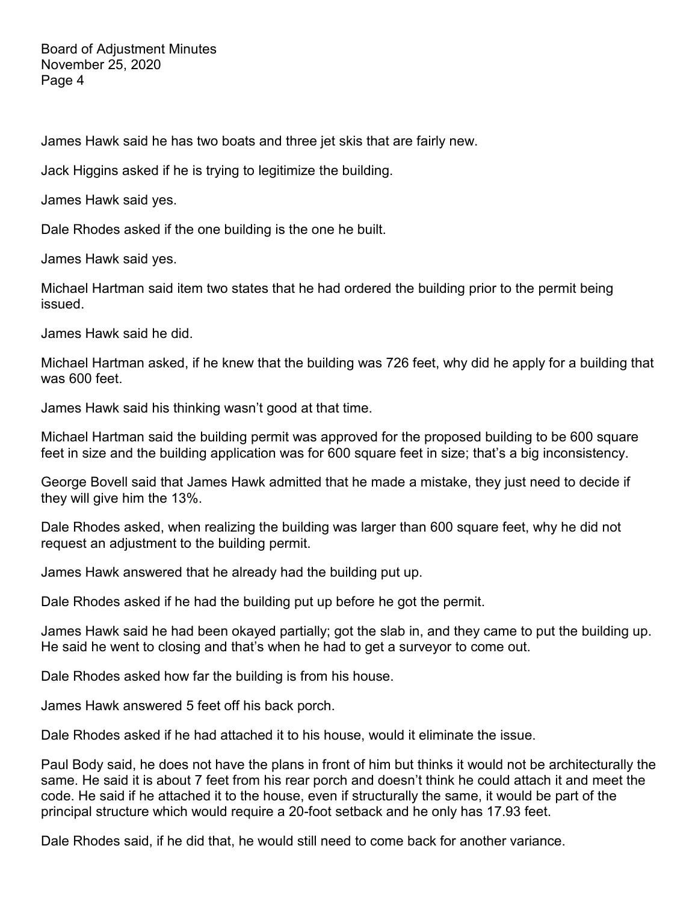James Hawk said he has two boats and three jet skis that are fairly new.

Jack Higgins asked if he is trying to legitimize the building.

James Hawk said yes.

Dale Rhodes asked if the one building is the one he built.

James Hawk said yes.

Michael Hartman said item two states that he had ordered the building prior to the permit being issued.

James Hawk said he did.

Michael Hartman asked, if he knew that the building was 726 feet, why did he apply for a building that was 600 feet.

James Hawk said his thinking wasn't good at that time.

Michael Hartman said the building permit was approved for the proposed building to be 600 square feet in size and the building application was for 600 square feet in size; that's a big inconsistency.

George Bovell said that James Hawk admitted that he made a mistake, they just need to decide if they will give him the 13%.

Dale Rhodes asked, when realizing the building was larger than 600 square feet, why he did not request an adjustment to the building permit.

James Hawk answered that he already had the building put up.

Dale Rhodes asked if he had the building put up before he got the permit.

James Hawk said he had been okayed partially; got the slab in, and they came to put the building up. He said he went to closing and that's when he had to get a surveyor to come out.

Dale Rhodes asked how far the building is from his house.

James Hawk answered 5 feet off his back porch.

Dale Rhodes asked if he had attached it to his house, would it eliminate the issue.

Paul Body said, he does not have the plans in front of him but thinks it would not be architecturally the same. He said it is about 7 feet from his rear porch and doesn't think he could attach it and meet the code. He said if he attached it to the house, even if structurally the same, it would be part of the principal structure which would require a 20-foot setback and he only has 17.93 feet.

Dale Rhodes said, if he did that, he would still need to come back for another variance.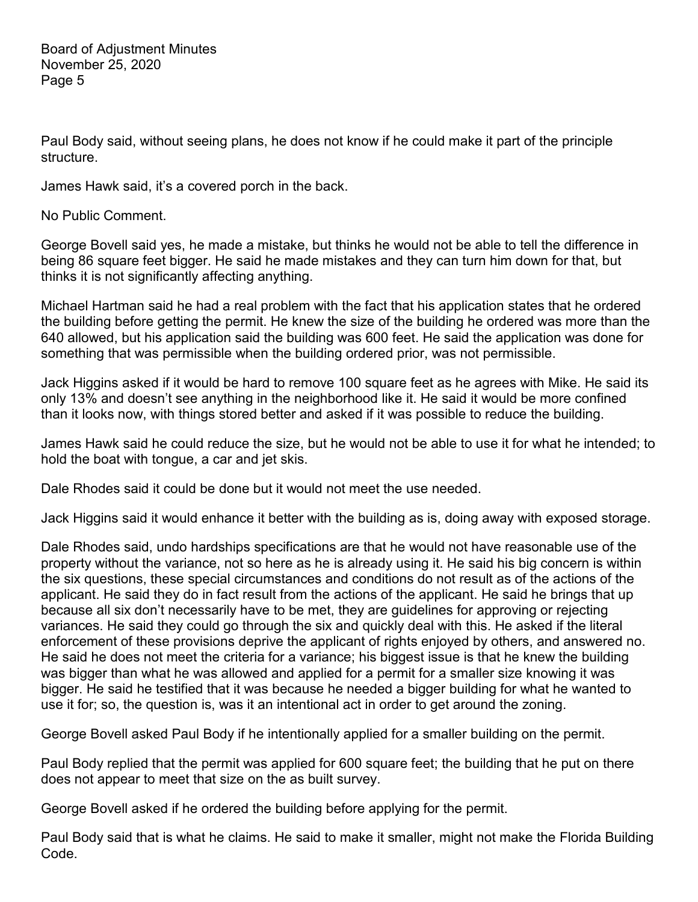Paul Body said, without seeing plans, he does not know if he could make it part of the principle structure.

James Hawk said, it's a covered porch in the back.

No Public Comment.

George Bovell said yes, he made a mistake, but thinks he would not be able to tell the difference in being 86 square feet bigger. He said he made mistakes and they can turn him down for that, but thinks it is not significantly affecting anything.

Michael Hartman said he had a real problem with the fact that his application states that he ordered the building before getting the permit. He knew the size of the building he ordered was more than the 640 allowed, but his application said the building was 600 feet. He said the application was done for something that was permissible when the building ordered prior, was not permissible.

Jack Higgins asked if it would be hard to remove 100 square feet as he agrees with Mike. He said its only 13% and doesn't see anything in the neighborhood like it. He said it would be more confined than it looks now, with things stored better and asked if it was possible to reduce the building.

James Hawk said he could reduce the size, but he would not be able to use it for what he intended; to hold the boat with tongue, a car and jet skis.

Dale Rhodes said it could be done but it would not meet the use needed.

Jack Higgins said it would enhance it better with the building as is, doing away with exposed storage.

Dale Rhodes said, undo hardships specifications are that he would not have reasonable use of the property without the variance, not so here as he is already using it. He said his big concern is within the six questions, these special circumstances and conditions do not result as of the actions of the applicant. He said they do in fact result from the actions of the applicant. He said he brings that up because all six don't necessarily have to be met, they are guidelines for approving or rejecting variances. He said they could go through the six and quickly deal with this. He asked if the literal enforcement of these provisions deprive the applicant of rights enjoyed by others, and answered no. He said he does not meet the criteria for a variance; his biggest issue is that he knew the building was bigger than what he was allowed and applied for a permit for a smaller size knowing it was bigger. He said he testified that it was because he needed a bigger building for what he wanted to use it for; so, the question is, was it an intentional act in order to get around the zoning.

George Bovell asked Paul Body if he intentionally applied for a smaller building on the permit.

Paul Body replied that the permit was applied for 600 square feet; the building that he put on there does not appear to meet that size on the as built survey.

George Bovell asked if he ordered the building before applying for the permit.

Paul Body said that is what he claims. He said to make it smaller, might not make the Florida Building Code.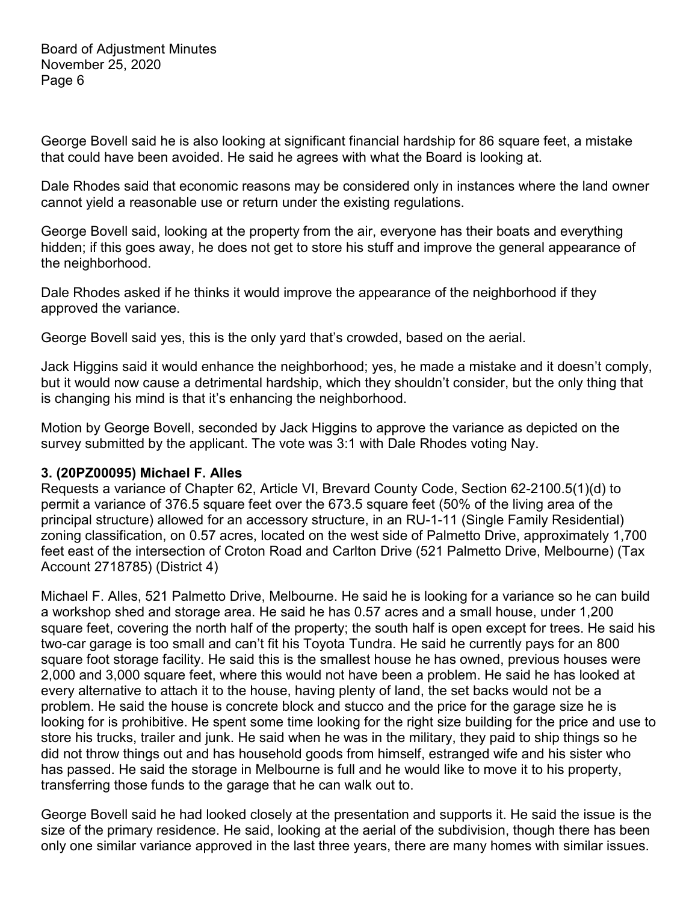George Bovell said he is also looking at significant financial hardship for 86 square feet, a mistake that could have been avoided. He said he agrees with what the Board is looking at.

Dale Rhodes said that economic reasons may be considered only in instances where the land owner cannot yield a reasonable use or return under the existing regulations.

George Bovell said, looking at the property from the air, everyone has their boats and everything hidden; if this goes away, he does not get to store his stuff and improve the general appearance of the neighborhood.

Dale Rhodes asked if he thinks it would improve the appearance of the neighborhood if they approved the variance.

George Bovell said yes, this is the only yard that's crowded, based on the aerial.

Jack Higgins said it would enhance the neighborhood; yes, he made a mistake and it doesn't comply, but it would now cause a detrimental hardship, which they shouldn't consider, but the only thing that is changing his mind is that it's enhancing the neighborhood.

Motion by George Bovell, seconded by Jack Higgins to approve the variance as depicted on the survey submitted by the applicant. The vote was 3:1 with Dale Rhodes voting Nay.

#### **3. (20PZ00095) Michael F. Alles**

Requests a variance of Chapter 62, Article VI, Brevard County Code, Section 62-2100.5(1)(d) to permit a variance of 376.5 square feet over the 673.5 square feet (50% of the living area of the principal structure) allowed for an accessory structure, in an RU-1-11 (Single Family Residential) zoning classification, on 0.57 acres, located on the west side of Palmetto Drive, approximately 1,700 feet east of the intersection of Croton Road and Carlton Drive (521 Palmetto Drive, Melbourne) (Tax Account 2718785) (District 4)

Michael F. Alles, 521 Palmetto Drive, Melbourne. He said he is looking for a variance so he can build a workshop shed and storage area. He said he has 0.57 acres and a small house, under 1,200 square feet, covering the north half of the property; the south half is open except for trees. He said his two-car garage is too small and can't fit his Toyota Tundra. He said he currently pays for an 800 square foot storage facility. He said this is the smallest house he has owned, previous houses were 2,000 and 3,000 square feet, where this would not have been a problem. He said he has looked at every alternative to attach it to the house, having plenty of land, the set backs would not be a problem. He said the house is concrete block and stucco and the price for the garage size he is looking for is prohibitive. He spent some time looking for the right size building for the price and use to store his trucks, trailer and junk. He said when he was in the military, they paid to ship things so he did not throw things out and has household goods from himself, estranged wife and his sister who has passed. He said the storage in Melbourne is full and he would like to move it to his property, transferring those funds to the garage that he can walk out to.

George Bovell said he had looked closely at the presentation and supports it. He said the issue is the size of the primary residence. He said, looking at the aerial of the subdivision, though there has been only one similar variance approved in the last three years, there are many homes with similar issues.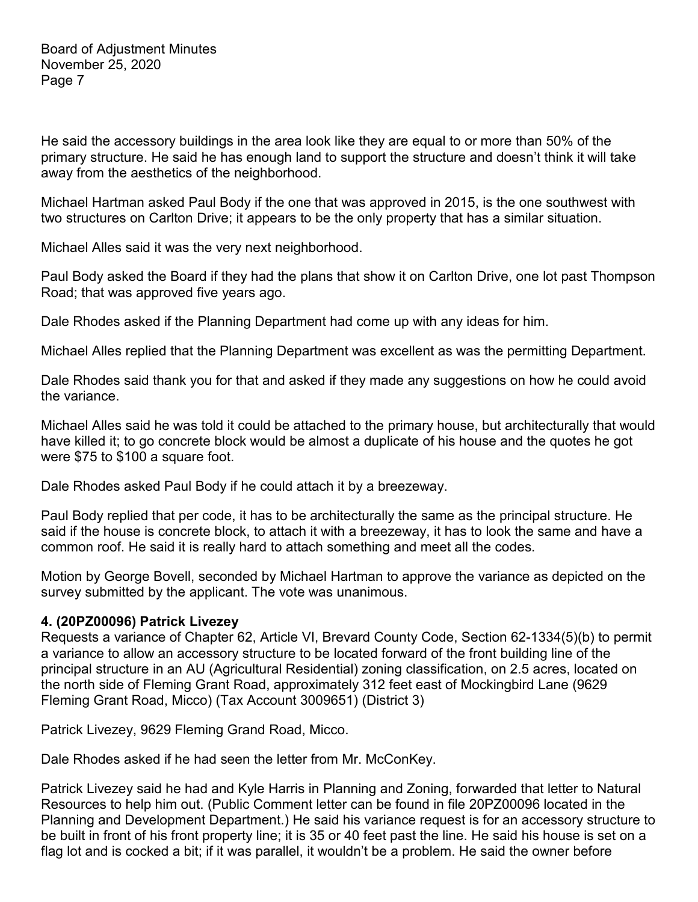He said the accessory buildings in the area look like they are equal to or more than 50% of the primary structure. He said he has enough land to support the structure and doesn't think it will take away from the aesthetics of the neighborhood.

Michael Hartman asked Paul Body if the one that was approved in 2015, is the one southwest with two structures on Carlton Drive; it appears to be the only property that has a similar situation.

Michael Alles said it was the very next neighborhood.

Paul Body asked the Board if they had the plans that show it on Carlton Drive, one lot past Thompson Road; that was approved five years ago.

Dale Rhodes asked if the Planning Department had come up with any ideas for him.

Michael Alles replied that the Planning Department was excellent as was the permitting Department.

Dale Rhodes said thank you for that and asked if they made any suggestions on how he could avoid the variance.

Michael Alles said he was told it could be attached to the primary house, but architecturally that would have killed it; to go concrete block would be almost a duplicate of his house and the quotes he got were \$75 to \$100 a square foot.

Dale Rhodes asked Paul Body if he could attach it by a breezeway.

Paul Body replied that per code, it has to be architecturally the same as the principal structure. He said if the house is concrete block, to attach it with a breezeway, it has to look the same and have a common roof. He said it is really hard to attach something and meet all the codes.

Motion by George Bovell, seconded by Michael Hartman to approve the variance as depicted on the survey submitted by the applicant. The vote was unanimous.

## **4. (20PZ00096) Patrick Livezey**

Requests a variance of Chapter 62, Article VI, Brevard County Code, Section 62-1334(5)(b) to permit a variance to allow an accessory structure to be located forward of the front building line of the principal structure in an AU (Agricultural Residential) zoning classification, on 2.5 acres, located on the north side of Fleming Grant Road, approximately 312 feet east of Mockingbird Lane (9629 Fleming Grant Road, Micco) (Tax Account 3009651) (District 3)

Patrick Livezey, 9629 Fleming Grand Road, Micco.

Dale Rhodes asked if he had seen the letter from Mr. McConKey.

Patrick Livezey said he had and Kyle Harris in Planning and Zoning, forwarded that letter to Natural Resources to help him out. (Public Comment letter can be found in file 20PZ00096 located in the Planning and Development Department.) He said his variance request is for an accessory structure to be built in front of his front property line; it is 35 or 40 feet past the line. He said his house is set on a flag lot and is cocked a bit; if it was parallel, it wouldn't be a problem. He said the owner before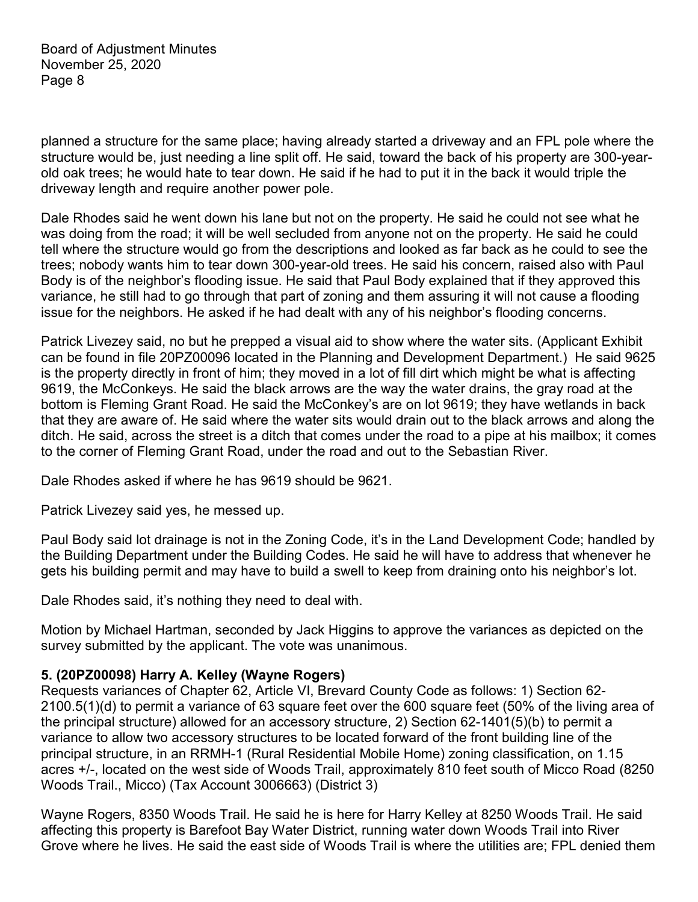planned a structure for the same place; having already started a driveway and an FPL pole where the structure would be, just needing a line split off. He said, toward the back of his property are 300-yearold oak trees; he would hate to tear down. He said if he had to put it in the back it would triple the driveway length and require another power pole.

Dale Rhodes said he went down his lane but not on the property. He said he could not see what he was doing from the road; it will be well secluded from anyone not on the property. He said he could tell where the structure would go from the descriptions and looked as far back as he could to see the trees; nobody wants him to tear down 300-year-old trees. He said his concern, raised also with Paul Body is of the neighbor's flooding issue. He said that Paul Body explained that if they approved this variance, he still had to go through that part of zoning and them assuring it will not cause a flooding issue for the neighbors. He asked if he had dealt with any of his neighbor's flooding concerns.

Patrick Livezey said, no but he prepped a visual aid to show where the water sits. (Applicant Exhibit can be found in file 20PZ00096 located in the Planning and Development Department.) He said 9625 is the property directly in front of him; they moved in a lot of fill dirt which might be what is affecting 9619, the McConkeys. He said the black arrows are the way the water drains, the gray road at the bottom is Fleming Grant Road. He said the McConkey's are on lot 9619; they have wetlands in back that they are aware of. He said where the water sits would drain out to the black arrows and along the ditch. He said, across the street is a ditch that comes under the road to a pipe at his mailbox; it comes to the corner of Fleming Grant Road, under the road and out to the Sebastian River.

Dale Rhodes asked if where he has 9619 should be 9621.

Patrick Livezey said yes, he messed up.

Paul Body said lot drainage is not in the Zoning Code, it's in the Land Development Code; handled by the Building Department under the Building Codes. He said he will have to address that whenever he gets his building permit and may have to build a swell to keep from draining onto his neighbor's lot.

Dale Rhodes said, it's nothing they need to deal with.

Motion by Michael Hartman, seconded by Jack Higgins to approve the variances as depicted on the survey submitted by the applicant. The vote was unanimous.

#### **5. (20PZ00098) Harry A. Kelley (Wayne Rogers)**

Requests variances of Chapter 62, Article VI, Brevard County Code as follows: 1) Section 62- 2100.5(1)(d) to permit a variance of 63 square feet over the 600 square feet (50% of the living area of the principal structure) allowed for an accessory structure, 2) Section 62-1401(5)(b) to permit a variance to allow two accessory structures to be located forward of the front building line of the principal structure, in an RRMH-1 (Rural Residential Mobile Home) zoning classification, on 1.15 acres +/-, located on the west side of Woods Trail, approximately 810 feet south of Micco Road (8250 Woods Trail., Micco) (Tax Account 3006663) (District 3)

Wayne Rogers, 8350 Woods Trail. He said he is here for Harry Kelley at 8250 Woods Trail. He said affecting this property is Barefoot Bay Water District, running water down Woods Trail into River Grove where he lives. He said the east side of Woods Trail is where the utilities are; FPL denied them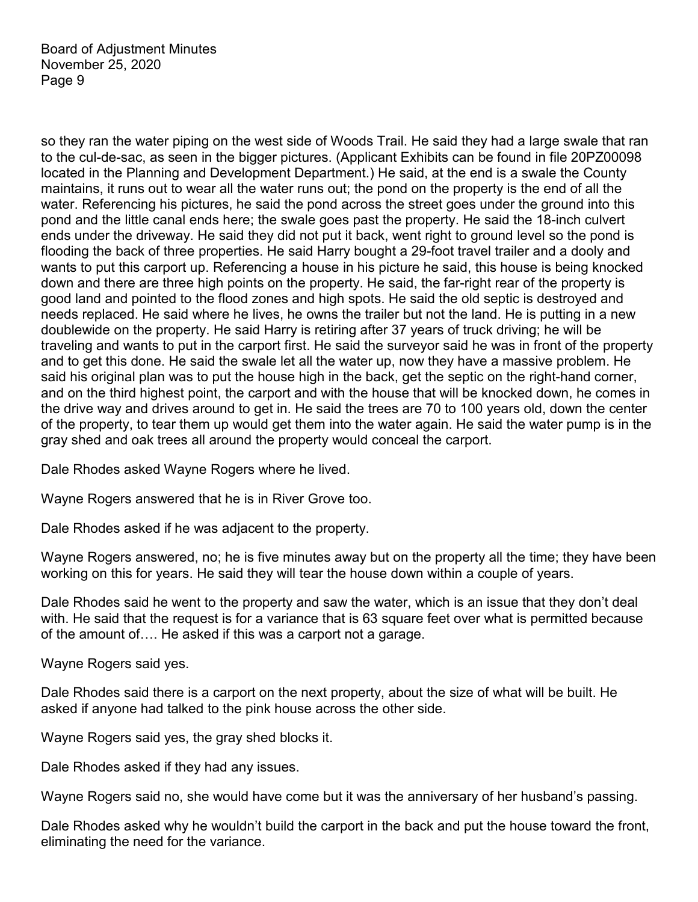so they ran the water piping on the west side of Woods Trail. He said they had a large swale that ran to the cul-de-sac, as seen in the bigger pictures. (Applicant Exhibits can be found in file 20PZ00098 located in the Planning and Development Department.) He said, at the end is a swale the County maintains, it runs out to wear all the water runs out; the pond on the property is the end of all the water. Referencing his pictures, he said the pond across the street goes under the ground into this pond and the little canal ends here; the swale goes past the property. He said the 18-inch culvert ends under the driveway. He said they did not put it back, went right to ground level so the pond is flooding the back of three properties. He said Harry bought a 29-foot travel trailer and a dooly and wants to put this carport up. Referencing a house in his picture he said, this house is being knocked down and there are three high points on the property. He said, the far-right rear of the property is good land and pointed to the flood zones and high spots. He said the old septic is destroyed and needs replaced. He said where he lives, he owns the trailer but not the land. He is putting in a new doublewide on the property. He said Harry is retiring after 37 years of truck driving; he will be traveling and wants to put in the carport first. He said the surveyor said he was in front of the property and to get this done. He said the swale let all the water up, now they have a massive problem. He said his original plan was to put the house high in the back, get the septic on the right-hand corner, and on the third highest point, the carport and with the house that will be knocked down, he comes in the drive way and drives around to get in. He said the trees are 70 to 100 years old, down the center of the property, to tear them up would get them into the water again. He said the water pump is in the gray shed and oak trees all around the property would conceal the carport.

Dale Rhodes asked Wayne Rogers where he lived.

Wayne Rogers answered that he is in River Grove too.

Dale Rhodes asked if he was adjacent to the property.

Wayne Rogers answered, no; he is five minutes away but on the property all the time; they have been working on this for years. He said they will tear the house down within a couple of years.

Dale Rhodes said he went to the property and saw the water, which is an issue that they don't deal with. He said that the request is for a variance that is 63 square feet over what is permitted because of the amount of…. He asked if this was a carport not a garage.

Wayne Rogers said yes.

Dale Rhodes said there is a carport on the next property, about the size of what will be built. He asked if anyone had talked to the pink house across the other side.

Wayne Rogers said yes, the gray shed blocks it.

Dale Rhodes asked if they had any issues.

Wayne Rogers said no, she would have come but it was the anniversary of her husband's passing.

Dale Rhodes asked why he wouldn't build the carport in the back and put the house toward the front, eliminating the need for the variance.